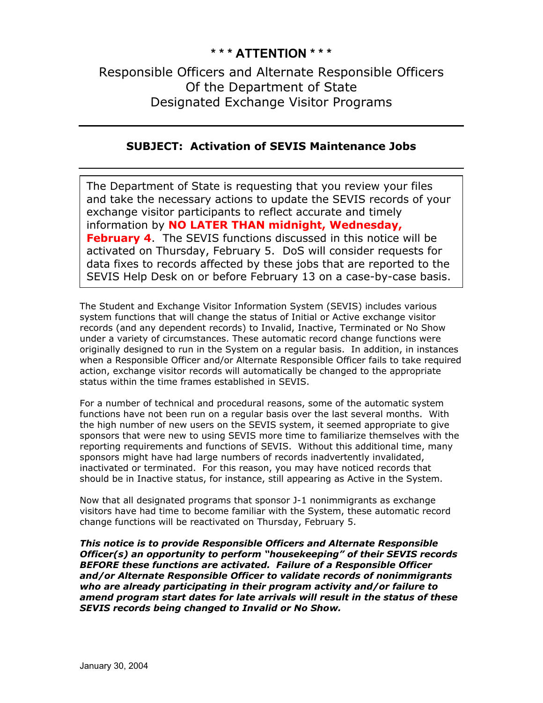### **\* \* \* ATTENTION \* \* \***

# Responsible Officers and Alternate Responsible Officers Of the Department of State Designated Exchange Visitor Programs

### **SUBJECT: Activation of SEVIS Maintenance Jobs**

The Department of State is requesting that you review your files and take the necessary actions to update the SEVIS records of y our exchange visitor participants to reflect accurate and timely information by **NO LATER THAN midnight, Wednesday, February 4**. The SEVIS functions discussed in this notice will be activated on Thursday, February 5. DoS will consider requests for data fixes to records affected by these jobs that are reported to the SEVIS Help Desk on or before February 13 on a case-by-case basis.

The Student and Exchange Visitor Information System (SEVIS) includes various system functions that will change the status of Initial or Active exchange visitor records (and any dependent records) to Invalid, Inactive, Terminated or No Show under a variety of circumstances. These automatic record change functions were originally designed to run in the System on a regular basis. In addition, in instances when a Responsible Officer and/or Alternate Responsible Officer fails to take required action, exchange visitor records will automatically be changed to the appropriate status within the time frames established in SEVIS.

For a number of technical and procedural reasons, some of the automatic system functions have not been run on a regular basis over the last several months. With the high number of new users on the SEVIS system, it seemed appropriate to give sponsors that were new to using SEVIS more time to familiarize themselves with the reporting requirements and functions of SEVIS. Without this additional time, many sponsors might have had large numbers of records inadvertently invalidated, inactivated or terminated. For this reason, you may have noticed records that should be in Inactive status, for instance, still appearing as Active in the System.

Now that all designated programs that sponsor J-1 nonimmigrants as exchange visitors have had time to become familiar with the System, these automatic record change functions will be reactivated on Thursday, February 5.

*This notice is to provide Responsible Officers and Alternate Responsible Officer(s) an opportunity to perform "housekeeping" of their SEVIS records BEFORE these functions are activated. Failure of a Responsible Officer and/or Alternate Responsible Officer to validate records of nonimmigrants who are already participating in their program activity and/or failure to amend program start dates for late arrivals will result in the status of these SEVIS records being changed to Invalid or No Show.*